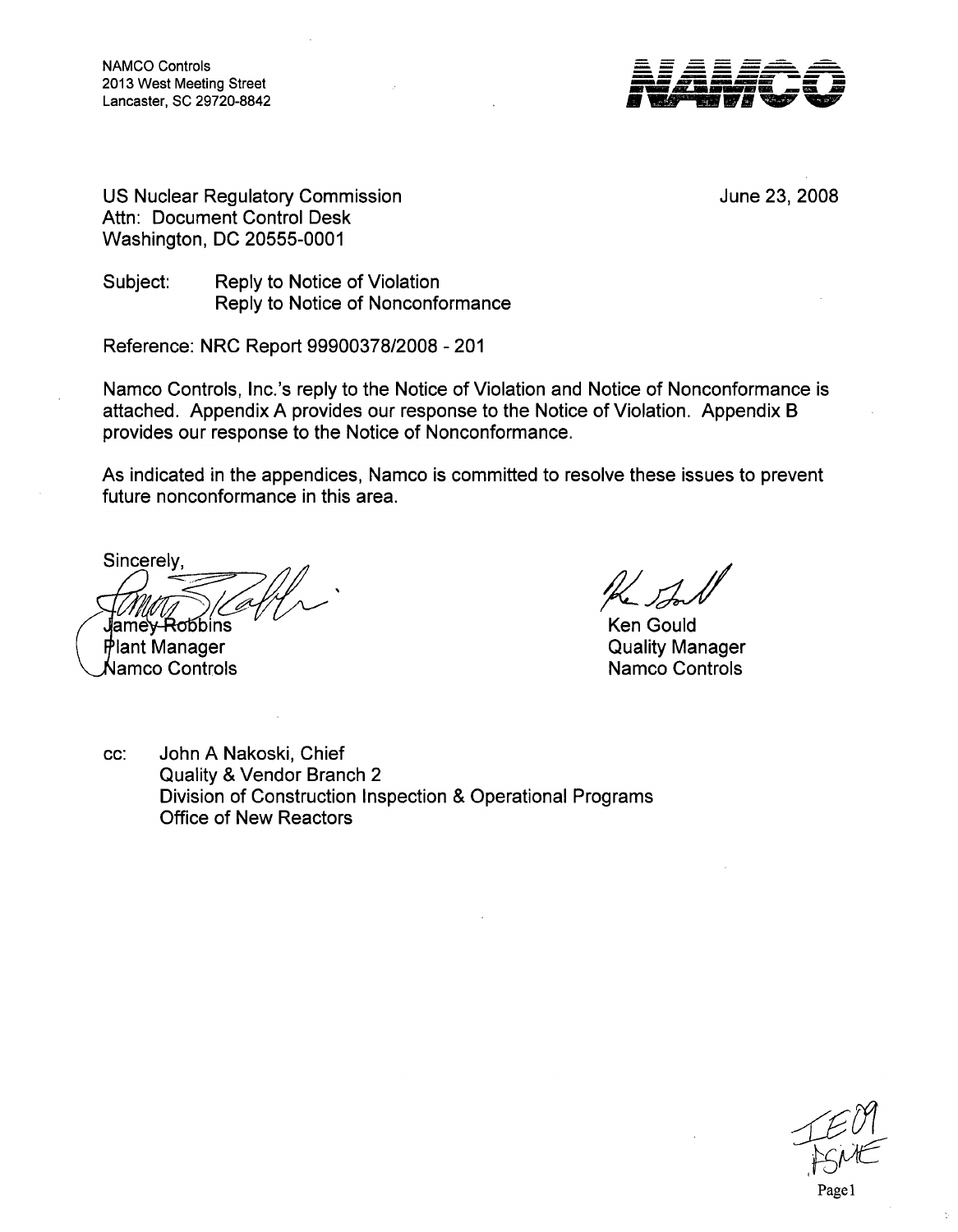NAMCO Controls 2013 West Meeting Street Lancaster, SC 29720-8842



US Nuclear Regulatory Commission Attn: Document Control Desk Washington, DC 20555-0001

June 23, 2008

Subject: Reply to Notice of Violation Reply to Notice of Nonconformance

Reference: NRC Report 99900378/2008 - 201

Namco Controls, Inc.'s reply to the Notice of Violation and Notice of Nonconformance is attached. Appendix A provides our response to the Notice of Violation. Appendix B provides our response to the Notice of Nonconformance.

As indicated in the appendices, Namco is committed to resolve these issues to prevent future nonconformance in this area.

**Sincerely** 

Jamey<del>-Ro</del>bbins Plant Manager

KJamco Controls

Ken Gould Quality Manager Namco Controls

cc: John A Nakoski, Chief Quality & Vendor Branch 2 Division of Construction Inspection & Operational Programs Office of New Reactors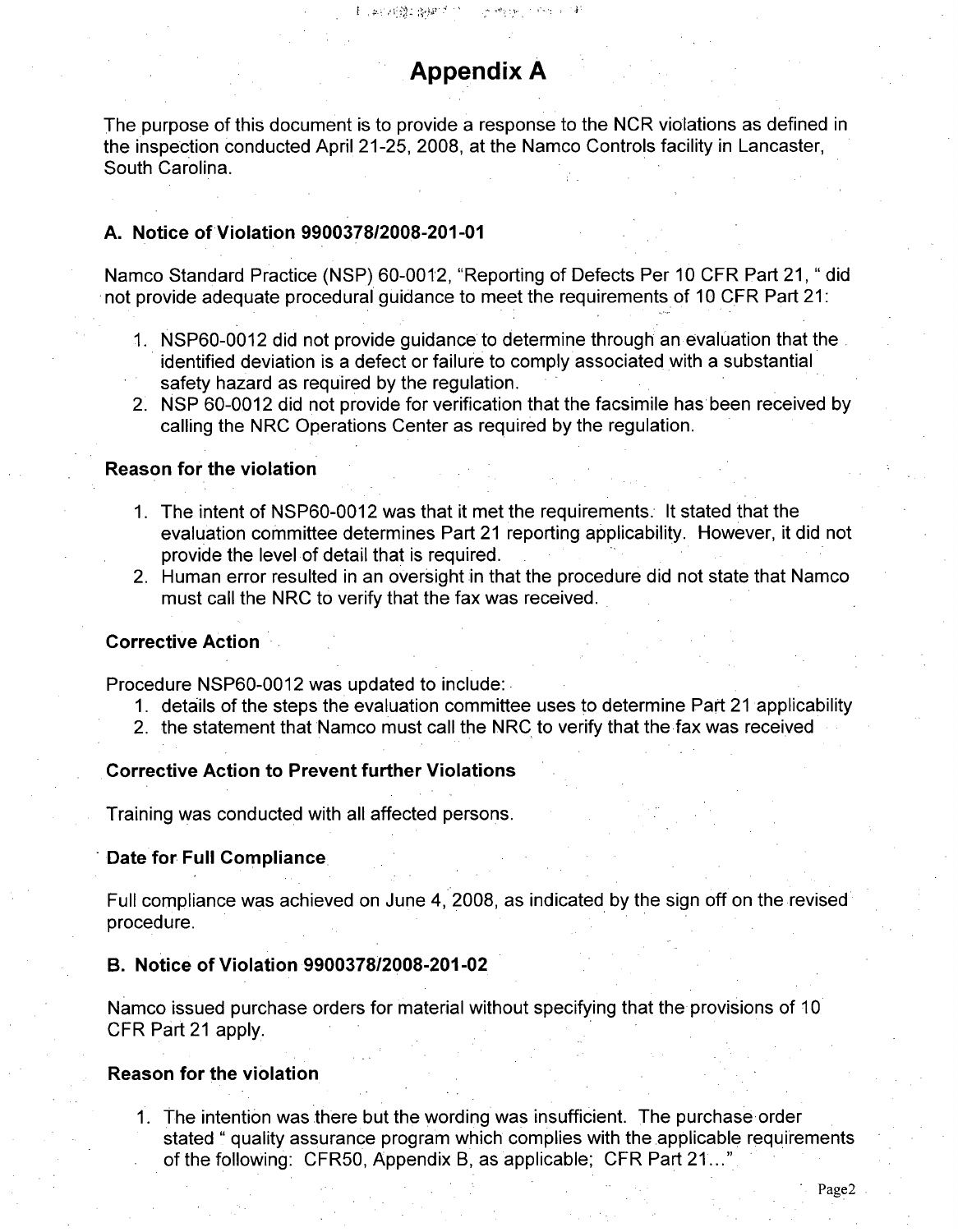# Appendix **A**

The purpose of this document is to provide a response to the NCR violations as defined in the inspection conducted April 21-25, 2008, at the Namco Controls facility in Lancaster, South Carolina.

### A. Notice of Violation **9900378/2008-201-01**

Namco Standard Practice (NSP) 60-0012, "Reporting of Defects Per 10 CFR Part 21, " did not provide adequate procedural guidance to meet the requirements of 10 CFR Part 21:

- 1. NSP60-0012 did not provide guidance to determine through an evaluation that the identified deviation is a defect or failure to comply associated with a substantial safety hazard as required by the regulation.
- 2. NSP 60-0012 did not provide for verification that the facsimile has been received by calling the NRC Operations Center as required by the regulation.

#### Reason for the violation

- 1. The intent of NSP60-0012 was that it met the requirements. It stated that the evaluation committee determines Part 21 reporting applicability. However, it did not provide the level of detail that is required.
- 2. Human error resulted in an oversight in that the procedure did not state that Namco must call the NRC to verify that the fax was received.

## Corrective Action

Procedure NSP60-0012 was updated to include:

- 1. details of the steps the evaluation committee uses to determine Part 21 applicability
- 2. the statement that Namco must call the NRC to verify that the fax was received

#### Corrective Action to Prevent further Violations

Training was conducted with all affected persons.

#### Date for Full Compliance.

Full compliance was achieved on June 4, 2008, as indicated by the sign off on the revised procedure.

## B. Notice of Violation 9900378/2008-201-02

Namco issued purchase orders for material without specifying that the provisions of 10 CFR Part 21 apply.

## Reason for the violation

**1.** The intention was there but the wording was insufficient. The purchase order stated " quality assurance program which complies with the applicable requirements of the following: CFR50, Appendix B, as applicable; CFR Part 21...'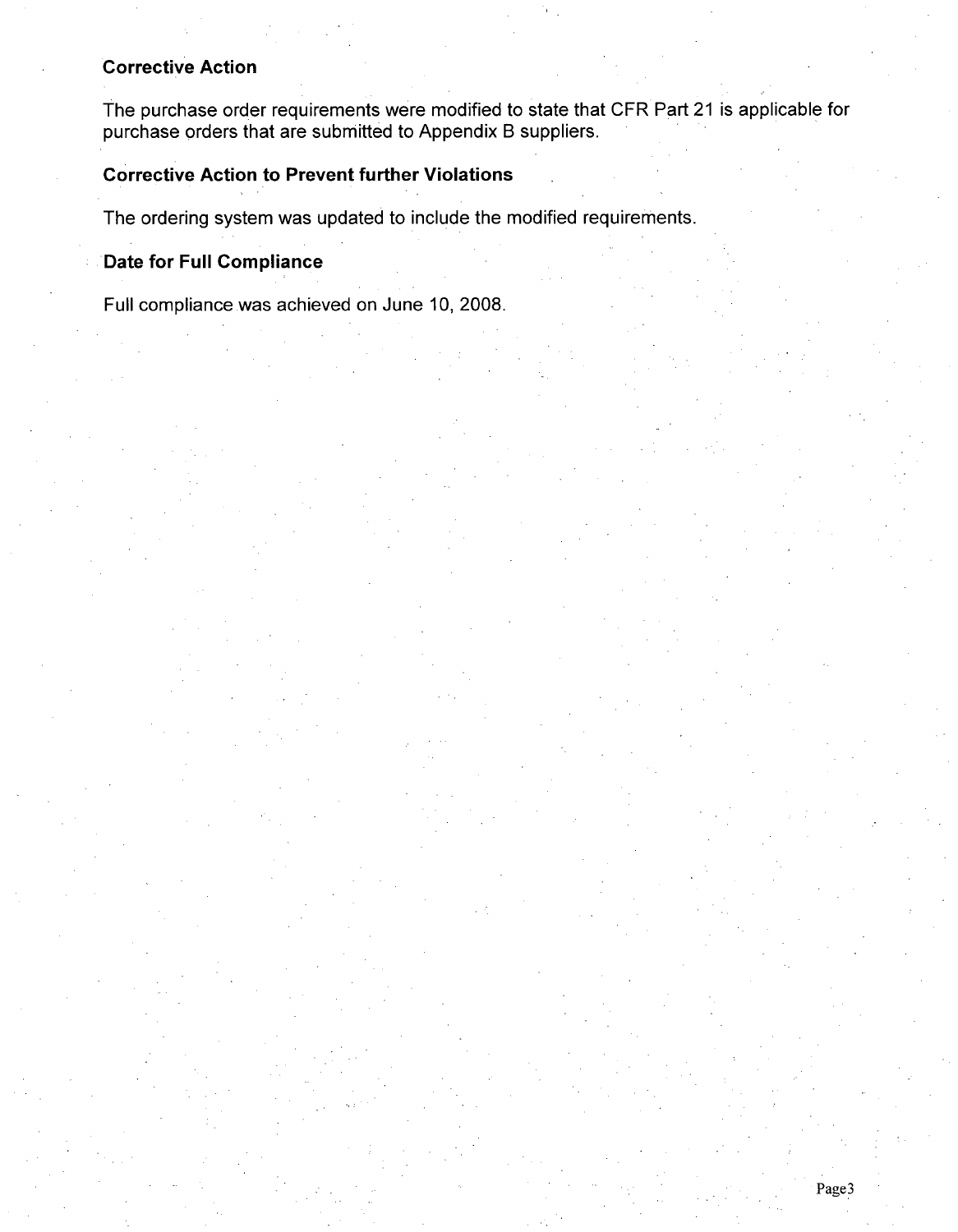# Corrective Action

The purchase order requirements were modified to state that CFR Part 21 is applicable for purchase orders that are submitted to Appendix B suppliers.

# Corrective Action to Prevent further Violations

The ordering system was updated to include the modified requirements.

# Date for Full Compliance

Full compliance was achieved on June 10, 2008.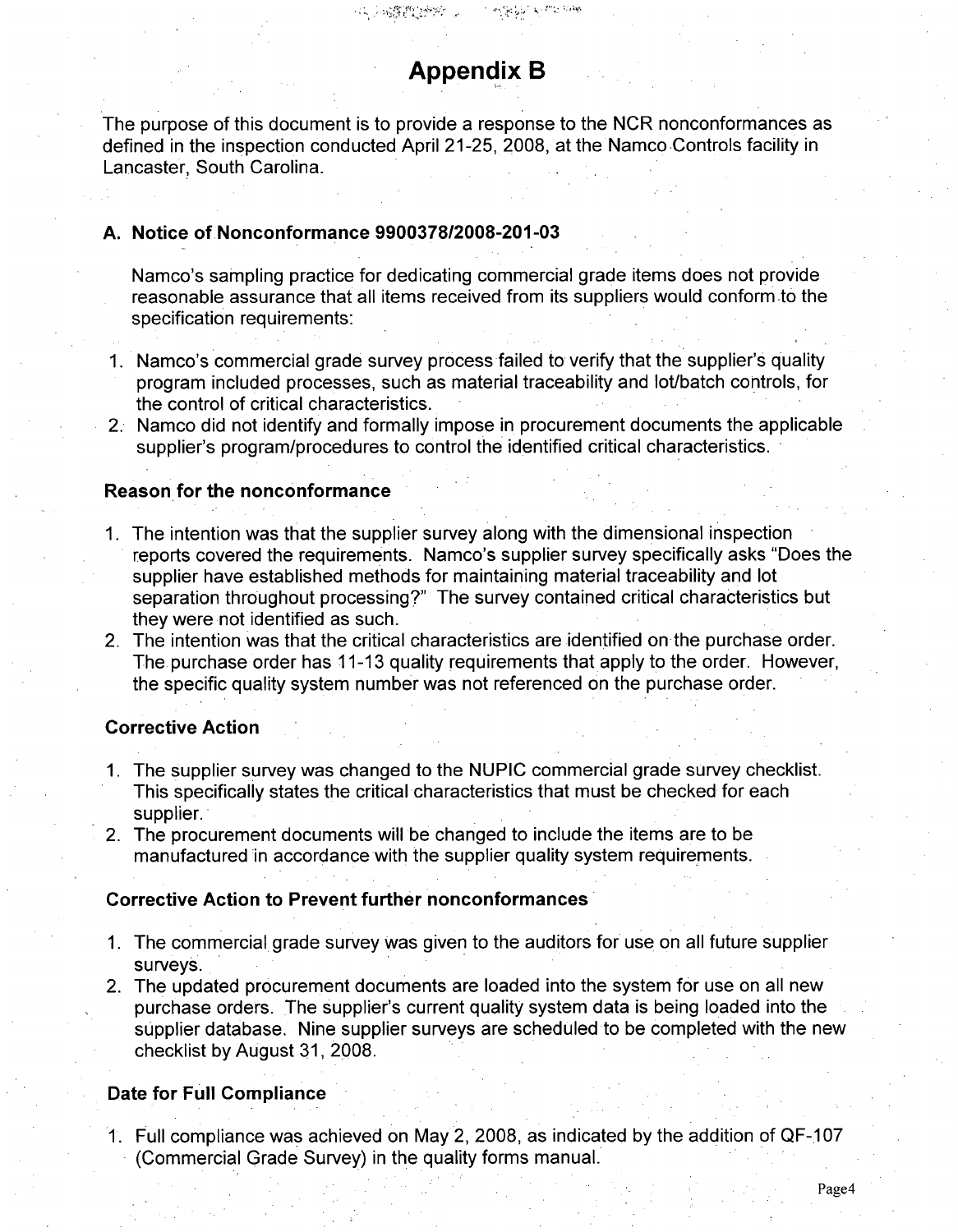# Appendix B

The purpose of this document is to provide a response to the NCR nonconformances as defined in the inspection conducted April 21-25, 2008, at the Namco Controls facility in Lancaster, South Carolina.

## **A.** Notice of Nonconformance **9900378/2008-201-03**

Namco's sampling practice for dedicating commercial grade items does not provide reasonable assurance that all items received from its suppliers would conform to the specification requirements:

- 1. Namco's commercial grade survey process failed to verify that the supplier's quality program included processes, such as material traceability and lot/batch controls, for the control of critical characteristics.
- 2. Namco did not identify and formally impose in procurement documents the applicable supplier's program/procedures to control the identified critical characteristics.

## Reason for the nonconformance

- *1.* The intention was that the supplier survey along with the dimensional inspection reports covered the requirements. Namco's supplier survey specifically asks "Does the supplier have established methods for maintaining material traceability and lot separation throughout processing?" The survey contained critical characteristics but they were not identified as such.
- 2. The intention was that the critical characteristics are identified on the purchase order. The purchase order has 11-13 quality requirements that apply to the order. However, the specific quality system number was not referenced on the purchase order.

## Corrective Action

- 1. The supplier survey was changed to the NUPIC commercial grade survey checklist. This specifically states the critical characteristics that must be checked for each supplier.
- 2. The procurement documents will be changed to include the items are to be manufactured in accordance with the supplier quality system requirements.

#### Corrective Action to Prevent further nonconformances

- 1. The commercial grade survey was given to the auditors for use on all future supplier surveys.
- 2. The updated procurement documents are loaded into the system for use on all new purchase orders. The supplier's current quality system data is being loaded into the supplier database. Nine supplier surveys are scheduled to be completed with the new checklist by August 31, 2008.

## Date for Full Compliance

1. Full compliance was achieved on May 2, 2008, as indicated by the addition of QF-107 (Commercial Grade Survey) in the quality forms manual.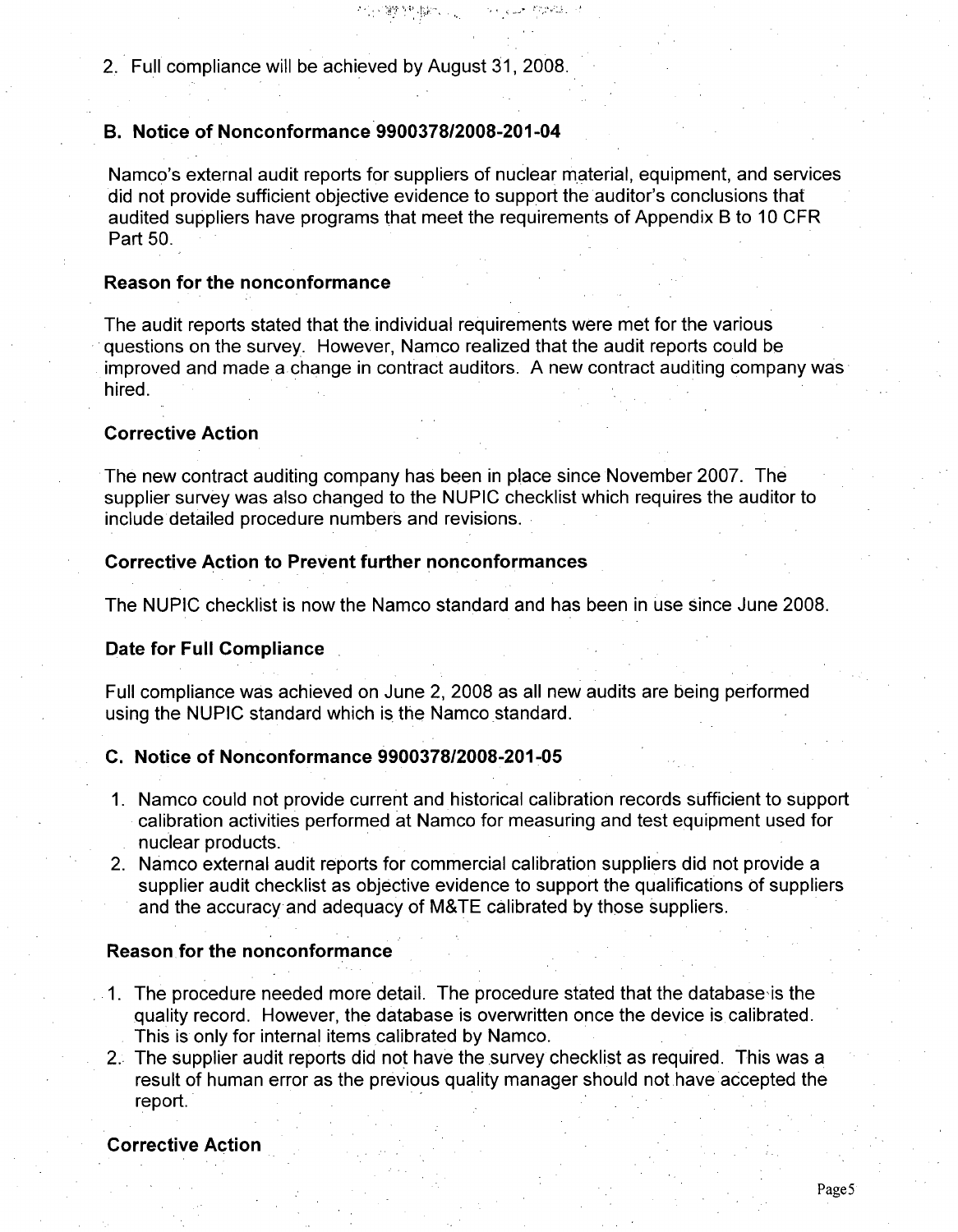2. Full compliance will be achieved by August 31, 2008.

100%的复数 200

## B. Notice of Nonconformance **9900378/2008-201-04**

Namco's external audit reports for suppliers of nuclear material, equipment, and services did not provide sufficient objective evidence to support the auditor's conclusions that audited suppliers have programs that meet the requirements of Appendix B to 10 CFR Part 50.

್ ಸ್ಟ್ರೀಯ್ ಸ್ಪೇಟ್ ಪ್ರತಿ

## Reason for the nonconformance

The audit reports stated that the individual requirements were met for the various questions on the survey. However, Namco realized that the audit reports could be improved and made a change in contract auditors. A new contract auditing company was hired.

# Corrective Action

The new contract auditing company has been in place since November 2007. The supplier survey was also changed to the NUPIC checklist which requires the auditor to include detailed procedure numbers and revisions.

## Corrective Action to Prevent further nonconformances

The NUPIC checklist is now the Namco standard and has been in use since June 2008.

## Date for Full Compliance

Full compliance was achieved on June 2, **2008** as all new audits are being performed using the NUPIC standard which is the Namco standard.

## **C.** Notice of Nonconformance **990037812008-201-05**

- **1.** Namco could not provide current and historical calibration records sufficient to support calibration activities performed at Namco for measuring and test equipment used for nuclear products.
- 2. Namco external audit reports for commercial calibration suppliers did not provide a supplier audit checklist as objective evidence to support the qualifications of suppliers and the accuracy and adequacy of M&TE calibrated by those suppliers.

#### Reason for the nonconformance

- 1. The procedure needed more detail. The procedure stated that the database is the quality record. However, the database is overwritten once the device is calibrated. This is only for internal items calibrated by Namco.
- 2. The supplier audit reports did not have the survey checklist as required. This was a result of human error as the previous quality manager should not have accepted the report.

#### Corrective Action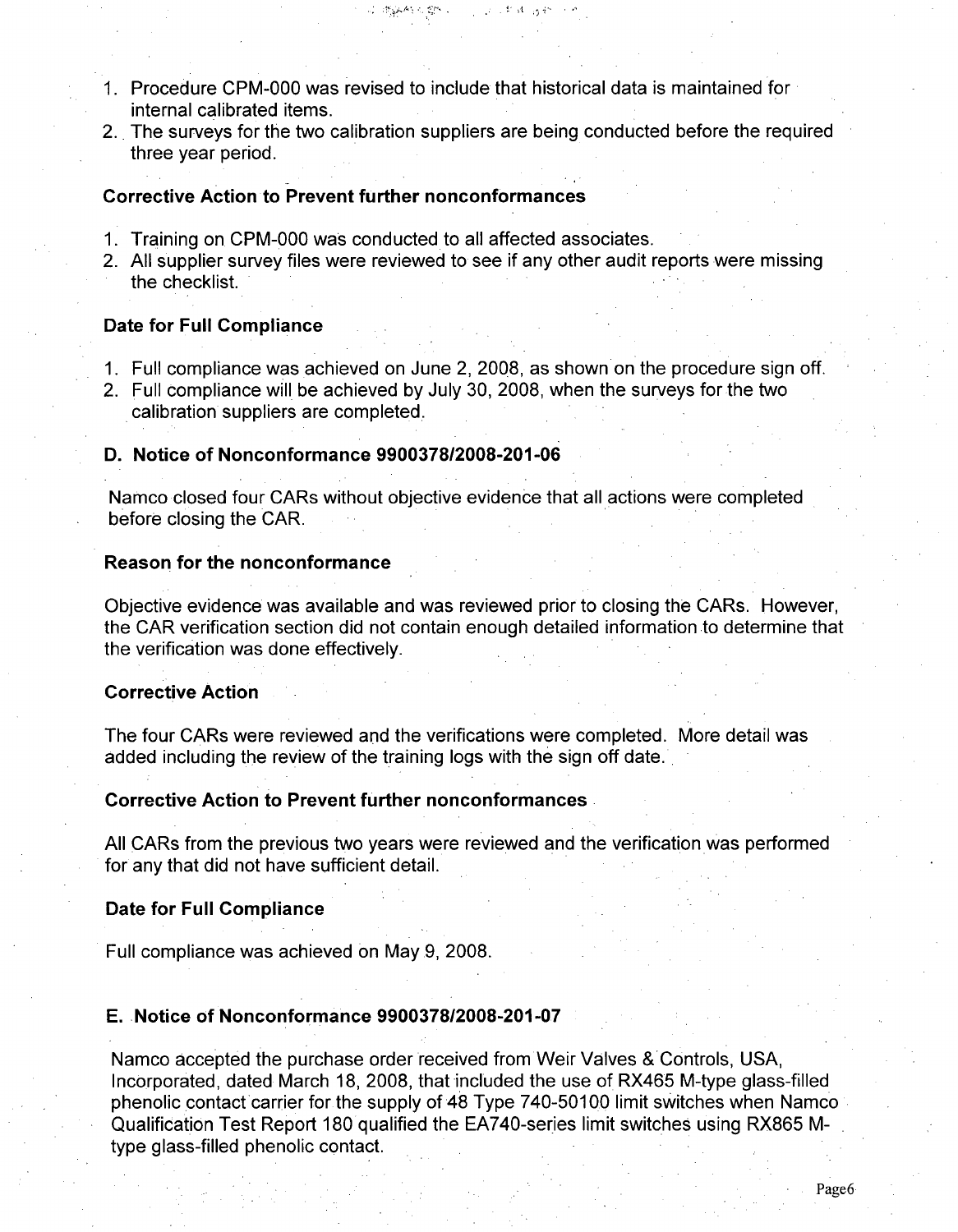- 1. Procedure CPM-000 was revised to include that historical data is maintained for internal calibrated items.
- 2.. The surveys for the two calibration suppliers are being conducted before the required three year period.

2. 膨胀的可能 2. 100mm ( ) 2. 1 和 d ( ) a m ( ) m

## Corrective Action to Prevent further nonconformances

- 1. Training on CPM-000 was conducted to all affected associates.
- 2. All supplier survey files were reviewed to see if any other audit reports were missing the checklist.

## Date for Full Compliance

- 1. Full compliance was achieved on June 2, 2008, as shown on the procedure sign off.
- 2. Full compliance will be achieved by July 30, 2008, when the surveys for the two calibration suppliers are completed.

## **D.** Notice of Nonconformance 9900378/2008-201-06

Namco closed four CARs without objective evidence that all actions were completed before closing the CAR.

#### Reason for the nonconformance

Objective evidence was available and was reviewed prior to closing the CARs. However, the CAR verification section did not contain enough detailed information to determine that the verification was done effectively.

## Corrective Action

The four CARs were reviewed and the verifications were completed. More detail was added including the review of the training logs with the sign off date.

#### Corrective Action to Prevent further nonconformances

All CARs from the previous two years were reviewed and the verification was performed for any that did not have sufficient detail.

#### Date for Full Compliance

Full compliance was achieved on May 9, 2008.

#### E. Notice of Nonconformance 9900378/2008-201-07

Namco accepted the purchase order received from Weir Valves & Controls, USA, Incorporated, dated March 18, 2008, that included the use of RX465 M-type glass-filled phenolic contact carrier for the supply of 48 Type 740-50100 limit switches when Namco Qualification Test Report 180 qualified the EA740-series limit switches using RX865 Mtype glass-filled phenolic contact.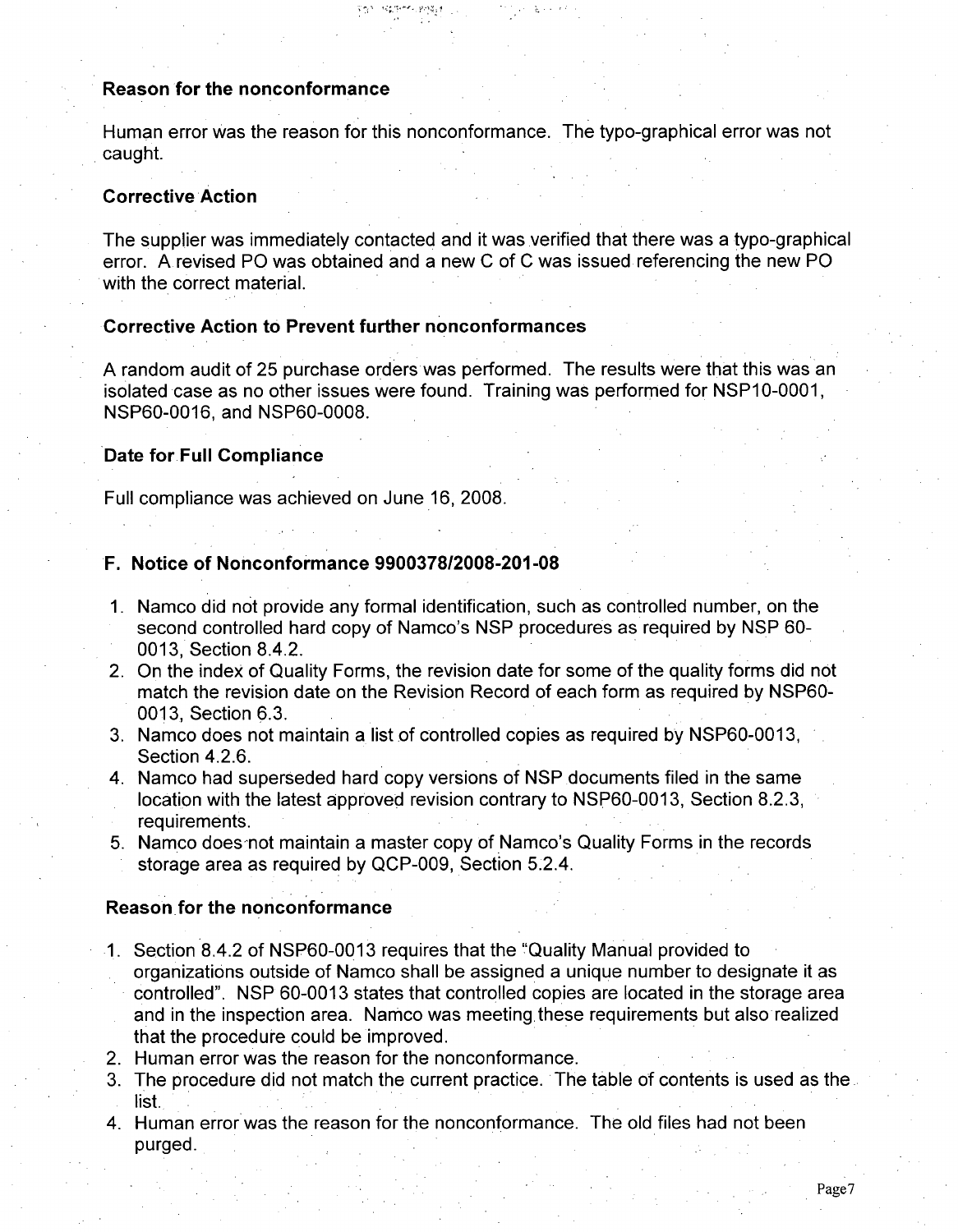## Reason for the nonconformance

Human error was the reason for this nonconformance. The typo-graphical error was not caught.

## Corrective Action

The supplier was immediately contacted and it was verified that there was a typo-graphical error. A revised PO was obtained and a new **C** of C was issued referencing the new PO with the correct material.

## Corrective Action to Prevent further nonconformances

A random audit of 25 purchase orders was performed. The results were that this was an isolated case as no other issues were found. Training was performed for NSP10-0001, NSP60-0016, and NSP60-0008.

#### Date for Full Compliance

Full compliance was achieved on June 16, 2008.

# F. Notice of Nonconformance **9900378/2008-201-08**

- 1. Namco did not provide any formal identification, such as controlled number, on the second controlled hard copy of Namco's NSP procedures as required by NSP 60- 0013, Section 8.4.2.
- 2. On the index of Quality Forms, the revision date for some of the quality forms did not match the revision date on the Revision Record of each form as required by NSP60- 0013. Section 6.3.
- 3. Namco does not maintain a list of controlled copies as required by NSP60-0013, Section 4.2.6.
- 4. Namco had superseded hard copy versions of NSP documents filed in the same location with the latest approved revision contrary to NSP60-0013, Section 8.2.3, requirements.
- 5. Namco does not maintain a master copy of Namco's Quality Forms in the records storage area as required by QCP-009, Section 5.2.4.

#### Reason for the nonconformance

- 1. Section 8.4.2 of NSP60-0013 requires that the "Quality Manual provided to organizations outside of Namco shall be assigned a unique number to designate it as controlled". NSP 60-0013 states that controlled copies are located in the storage area and in the inspection area. Namco was meeting these requirements but also realized that the procedure could be improved.
- 2. Human error was the reason for the nonconformance.
- 3. The procedure did not match the current practice. The table of contents is used as the list.
- 4. Human error was the reason for the nonconformance. The old files had not been purged.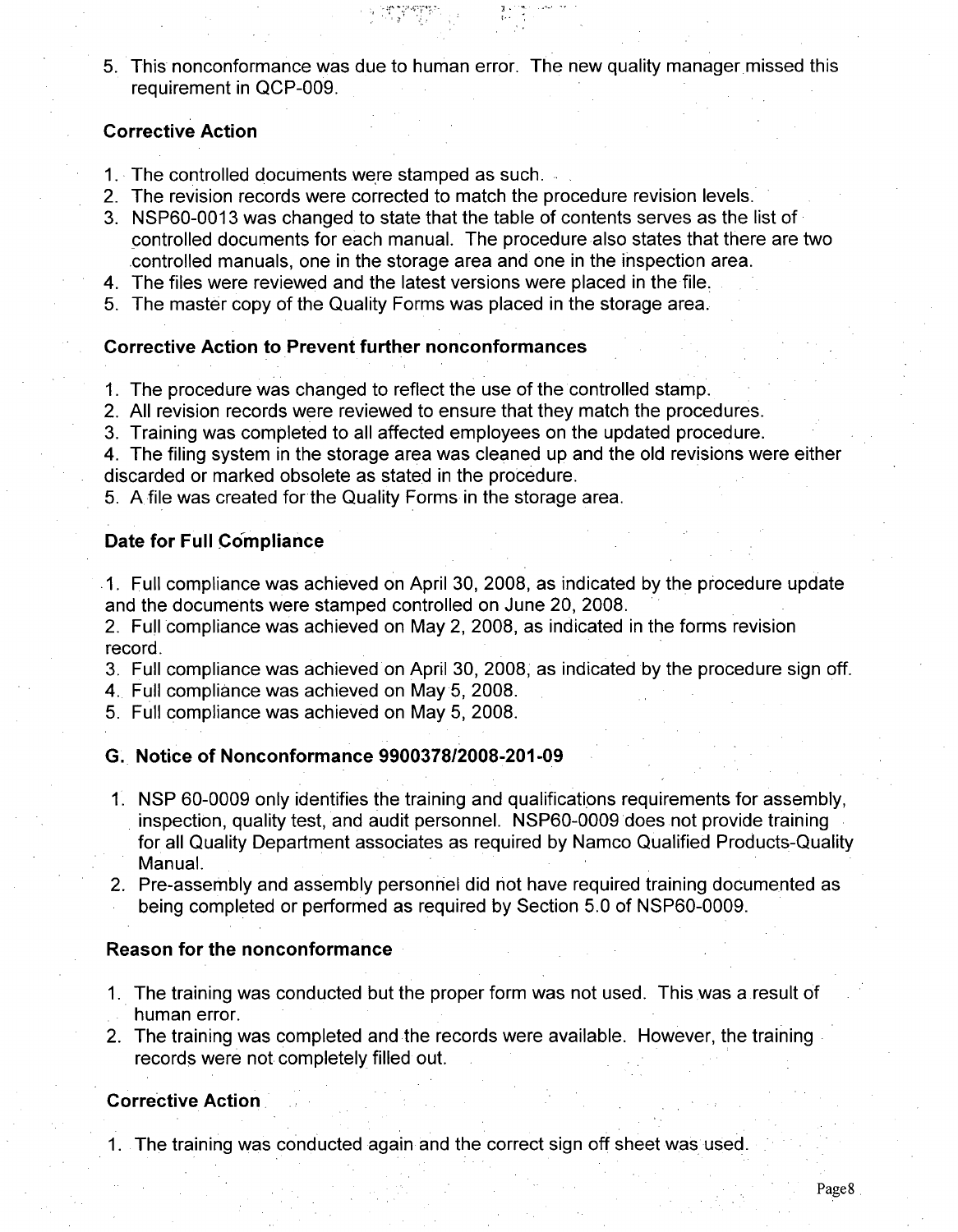5. This nonconformance was due to human error. The new quality manager missed this requirement in QCP-009.

# Corrective Action

- 1. The controlled documents were stamped as such.
- 2. The revision records were corrected to match the procedure revision levels.
- 3. NSP60-0013 was changed to state that the table of contents serves as the list of controlled documents for each manual. The procedure also states that there are two .controlled manuals, one in the storage area and one in the inspection area.
- 4. The files were reviewed and the latest versions were placed in the file.
- 5. The master copy of the Quality Forms was placed in the storage area.

## Corrective Action to Prevent further nonconformances

- 1. The procedure was changed to reflect the use of the controlled stamp.
- 2. All revision records were reviewed to ensure that they match the procedures.
- 3. Training was completed to all affected employees on the updated procedure.

4. The filing system in the storage area was cleaned up and the old revisions were either discarded or marked obsolete as stated in the procedure.

5. A file was created for the Quality Forms in the storage area.

## Date for Full Compliance

.1. Full compliance was achieved on April 30, 2008, as indicated by the procedure update and the documents were stamped controlled on June 20, 2008.

2. Full compliance was achieved on May 2, 2008, as indicated in the forms revision record.

- 3. Full compliance was achieved on April 30, 2008, as indicated by the procedure sign off.
- 4. Full compliance was achieved on May 5, 2008.
- 5. Full compliance was achieved on May 5, 2008.

## **G.,** Notice of Nonconformance 9900378/2008-201-09

- 1. NSP 60-0009 only identifies the training and qualifications requirements for assembly, inspection, quality test, and audit personnel. NSP60-0009 does not provide training for all Quality Department associates as required by Namco Qualified Products-Quality Manual.
- 2. Pre-assembly and assembly personnel did not have required training documented as being completed or performed as required by Section 5.0 of NSP60-0009.

## Reason for the nonconformance

- 1. The training was conducted but the proper form was not used. This was a result of human error.
- 2. The training was completed and the records were available. However, the training records were not completely filled out.

# Corrective Action,

1. The training was conducted again and the correct sign off sheet was used.